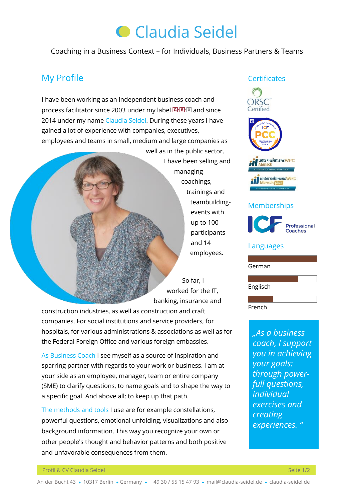# **C** Claudia Seidel

Coaching in a Business Context – for Individuals, Business Partners & Teams

# My Profile

I have been working as an independent business coach and processfacilitator since 2003 under my label  $\boxed{\text{G-B-N}}$  and since 2014 under my name Claudia Seidel. During these years I have gained a lot of experience with companies, executives, employees and teams in small, medium and large companies as

> well as in the public sector. I have been selling and managing coachings, trainings and teambuildingevents with up to 100 participants and 14 employees.

 So far, I worked for the IT. banking, insurance and

construction industries, as well as construction and craft companies. For social institutions and service providers, for hospitals, for various administrations & associations as well as for the Federal Foreign Office and various foreign embassies.

As Business Coach I see myself as a source of inspiration and sparring partner with regards to your work or business. I am at your side as an employee, manager, team or entire company (SME) to clarify questions, to name goals and to shape the way to a specific goal. And above all: to keep up that path.

The methods and tools I use are for example constellations, powerful questions, emotional unfolding, visualizations and also background information. This way you recognize your own or other people's thought and behavior patterns and both positive and unfavorable consequences from them.

### **Certificates**



## Memberships



# Professional

#### Languages

German

Englisch

French

*"As a business coach, I support you in achieving your goals: through powerfull questions, individual exercises and creating experiences. "*